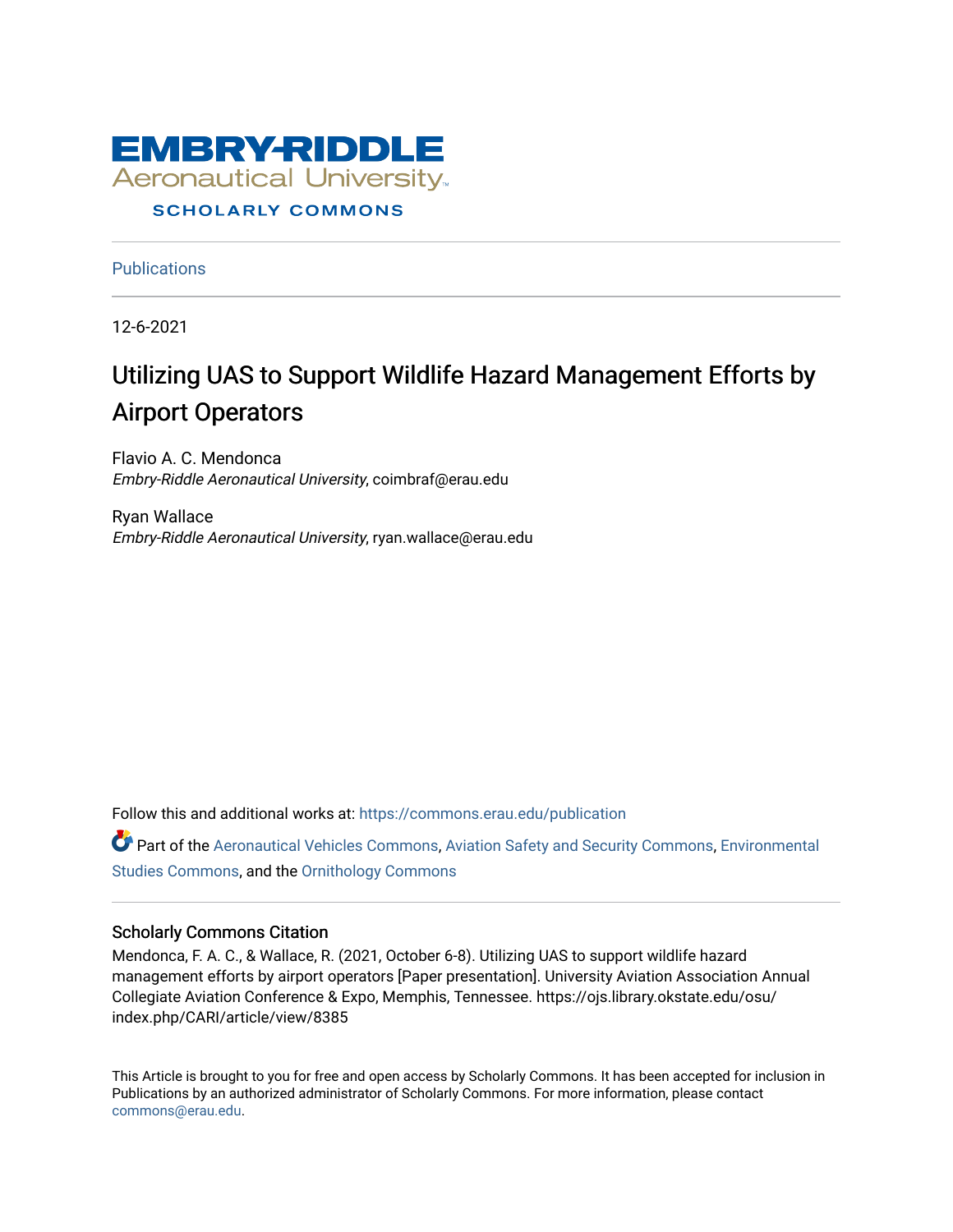

#### **SCHOLARLY COMMONS**

**Publications** 

12-6-2021

# Utilizing UAS to Support Wildlife Hazard Management Efforts by Airport Operators

Flavio A. C. Mendonca Embry-Riddle Aeronautical University, coimbraf@erau.edu

Ryan Wallace Embry-Riddle Aeronautical University, ryan.wallace@erau.edu

Follow this and additional works at: [https://commons.erau.edu/publication](https://commons.erau.edu/publication?utm_source=commons.erau.edu%2Fpublication%2F1698&utm_medium=PDF&utm_campaign=PDFCoverPages) 

Part of the [Aeronautical Vehicles Commons,](http://network.bepress.com/hgg/discipline/219?utm_source=commons.erau.edu%2Fpublication%2F1698&utm_medium=PDF&utm_campaign=PDFCoverPages) [Aviation Safety and Security Commons,](http://network.bepress.com/hgg/discipline/1320?utm_source=commons.erau.edu%2Fpublication%2F1698&utm_medium=PDF&utm_campaign=PDFCoverPages) Environmental [Studies Commons,](http://network.bepress.com/hgg/discipline/1333?utm_source=commons.erau.edu%2Fpublication%2F1698&utm_medium=PDF&utm_campaign=PDFCoverPages) and the [Ornithology Commons](http://network.bepress.com/hgg/discipline/1190?utm_source=commons.erau.edu%2Fpublication%2F1698&utm_medium=PDF&utm_campaign=PDFCoverPages) 

#### Scholarly Commons Citation

Mendonca, F. A. C., & Wallace, R. (2021, October 6-8). Utilizing UAS to support wildlife hazard management efforts by airport operators [Paper presentation]. University Aviation Association Annual Collegiate Aviation Conference & Expo, Memphis, Tennessee. https://ojs.library.okstate.edu/osu/ index.php/CARI/article/view/8385

This Article is brought to you for free and open access by Scholarly Commons. It has been accepted for inclusion in Publications by an authorized administrator of Scholarly Commons. For more information, please contact [commons@erau.edu](mailto:commons@erau.edu).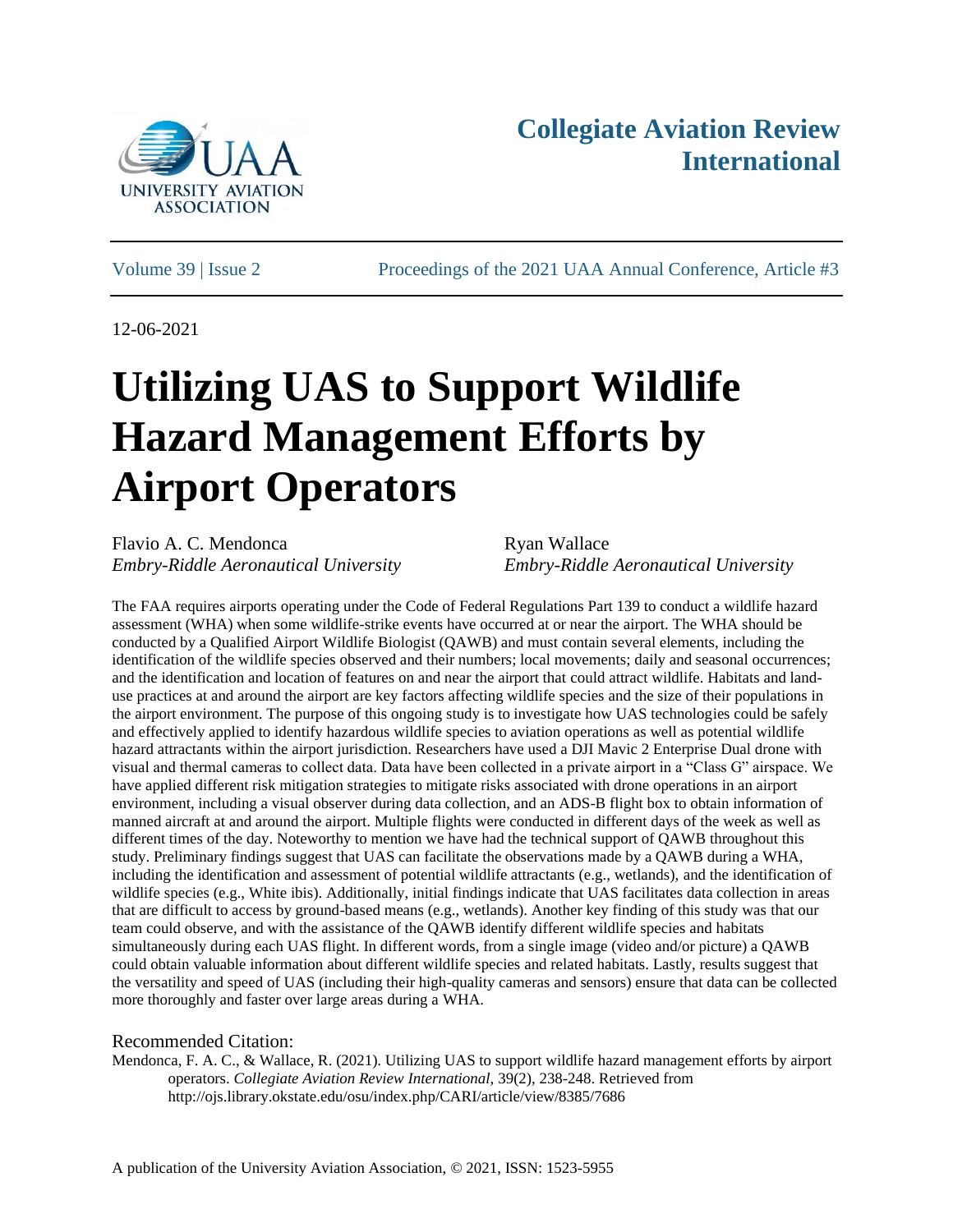

# **Collegiate Aviation Review International**

Volume 39 | Issue 2 Proceedings of the 2021 UAA Annual Conference, Article #3

12-06-2021

# **Utilizing UAS to Support Wildlife Hazard Management Efforts by Airport Operators**

Flavio A. C. Mendonca Ryan Wallace *Embry-Riddle Aeronautical University Embry-Riddle Aeronautical University*

The FAA requires airports operating under the Code of Federal Regulations Part 139 to conduct a wildlife hazard assessment (WHA) when some wildlife-strike events have occurred at or near the airport. The WHA should be conducted by a Qualified Airport Wildlife Biologist (QAWB) and must contain several elements, including the identification of the wildlife species observed and their numbers; local movements; daily and seasonal occurrences; and the identification and location of features on and near the airport that could attract wildlife. Habitats and landuse practices at and around the airport are key factors affecting wildlife species and the size of their populations in the airport environment. The purpose of this ongoing study is to investigate how UAS technologies could be safely and effectively applied to identify hazardous wildlife species to aviation operations as well as potential wildlife hazard attractants within the airport jurisdiction. Researchers have used a DJI Mavic 2 Enterprise Dual drone with visual and thermal cameras to collect data. Data have been collected in a private airport in a "Class G" airspace. We have applied different risk mitigation strategies to mitigate risks associated with drone operations in an airport environment, including a visual observer during data collection, and an ADS-B flight box to obtain information of manned aircraft at and around the airport. Multiple flights were conducted in different days of the week as well as different times of the day. Noteworthy to mention we have had the technical support of QAWB throughout this study. Preliminary findings suggest that UAS can facilitate the observations made by a QAWB during a WHA, including the identification and assessment of potential wildlife attractants (e.g., wetlands), and the identification of wildlife species (e.g., White ibis). Additionally, initial findings indicate that UAS facilitates data collection in areas that are difficult to access by ground-based means (e.g., wetlands). Another key finding of this study was that our team could observe, and with the assistance of the QAWB identify different wildlife species and habitats simultaneously during each UAS flight. In different words, from a single image (video and/or picture) a QAWB could obtain valuable information about different wildlife species and related habitats. Lastly, results suggest that the versatility and speed of UAS (including their high-quality cameras and sensors) ensure that data can be collected more thoroughly and faster over large areas during a WHA.

#### Recommended Citation:

Mendonca, F. A. C., & Wallace, R. (2021). Utilizing UAS to support wildlife hazard management efforts by airport operators. *Collegiate Aviation Review International,* 39(2), 238-248. Retrieved from http://ojs.library.okstate.edu/osu/index.php/CARI/article/view/8385/7686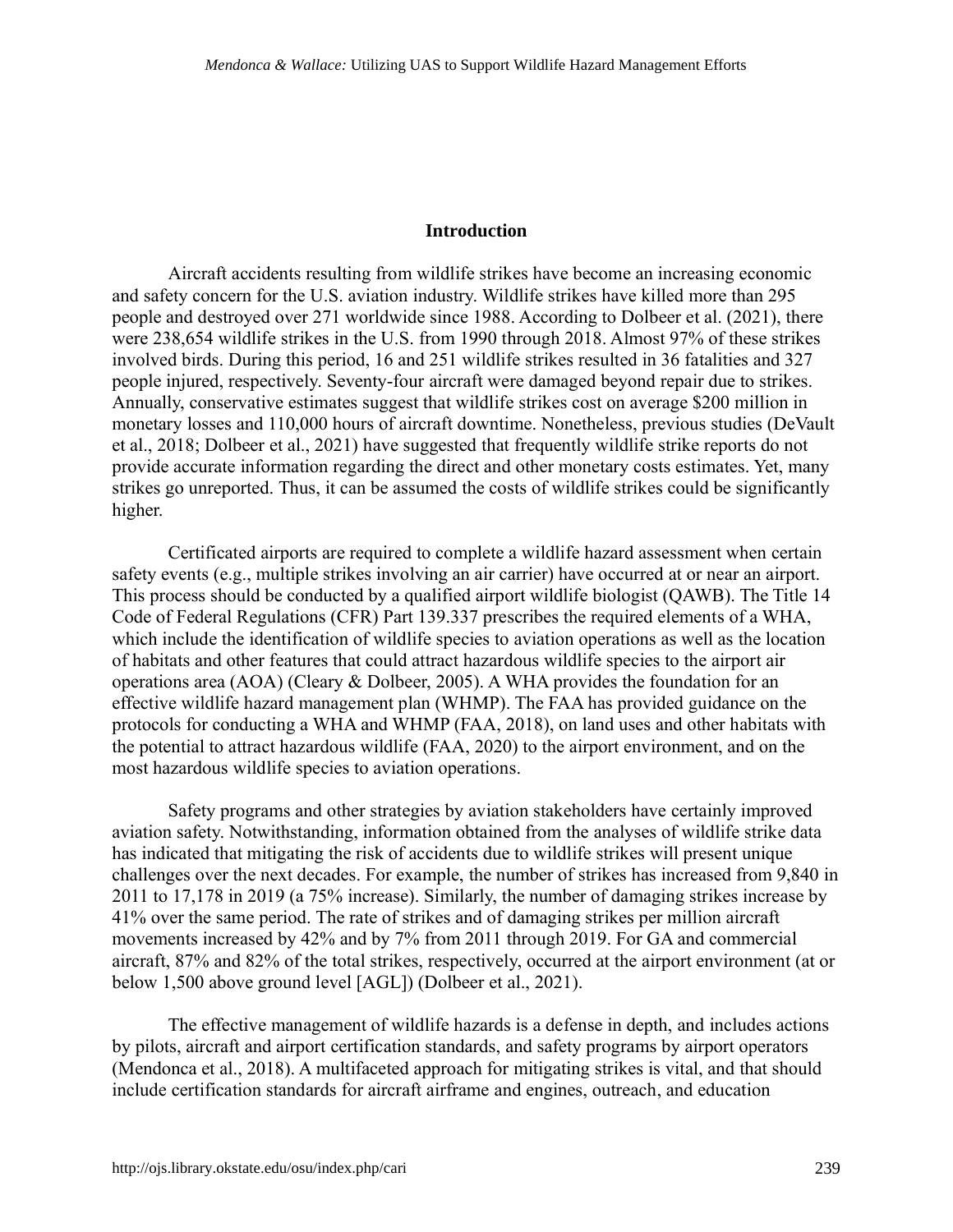#### **Introduction**

Aircraft accidents resulting from wildlife strikes have become an increasing economic and safety concern for the U.S. aviation industry. Wildlife strikes have killed more than 295 people and destroyed over 271 worldwide since 1988. According to Dolbeer et al. (2021), there were 238,654 wildlife strikes in the U.S. from 1990 through 2018. Almost 97% of these strikes involved birds. During this period, 16 and 251 wildlife strikes resulted in 36 fatalities and 327 people injured, respectively. Seventy-four aircraft were damaged beyond repair due to strikes. Annually, conservative estimates suggest that wildlife strikes cost on average \$200 million in monetary losses and 110,000 hours of aircraft downtime. Nonetheless, previous studies (DeVault et al., 2018; Dolbeer et al., 2021) have suggested that frequently wildlife strike reports do not provide accurate information regarding the direct and other monetary costs estimates. Yet, many strikes go unreported. Thus, it can be assumed the costs of wildlife strikes could be significantly higher.

Certificated airports are required to complete a wildlife hazard assessment when certain safety events (e.g., multiple strikes involving an air carrier) have occurred at or near an airport. This process should be conducted by a qualified airport wildlife biologist (QAWB). The Title 14 Code of Federal Regulations (CFR) Part 139.337 prescribes the required elements of a WHA, which include the identification of wildlife species to aviation operations as well as the location of habitats and other features that could attract hazardous wildlife species to the airport air operations area (AOA) (Cleary & Dolbeer, 2005). A WHA provides the foundation for an effective wildlife hazard management plan (WHMP). The FAA has provided guidance on the protocols for conducting a WHA and WHMP (FAA, 2018), on land uses and other habitats with the potential to attract hazardous wildlife (FAA, 2020) to the airport environment, and on the most hazardous wildlife species to aviation operations.

Safety programs and other strategies by aviation stakeholders have certainly improved aviation safety. Notwithstanding, information obtained from the analyses of wildlife strike data has indicated that mitigating the risk of accidents due to wildlife strikes will present unique challenges over the next decades. For example, the number of strikes has increased from 9,840 in 2011 to 17,178 in 2019 (a 75% increase). Similarly, the number of damaging strikes increase by 41% over the same period. The rate of strikes and of damaging strikes per million aircraft movements increased by 42% and by 7% from 2011 through 2019. For GA and commercial aircraft, 87% and 82% of the total strikes, respectively, occurred at the airport environment (at or below 1,500 above ground level [AGL]) (Dolbeer et al., 2021).

The effective management of wildlife hazards is a defense in depth, and includes actions by pilots, aircraft and airport certification standards, and safety programs by airport operators (Mendonca et al., 2018). A multifaceted approach for mitigating strikes is vital, and that should include certification standards for aircraft airframe and engines, outreach, and education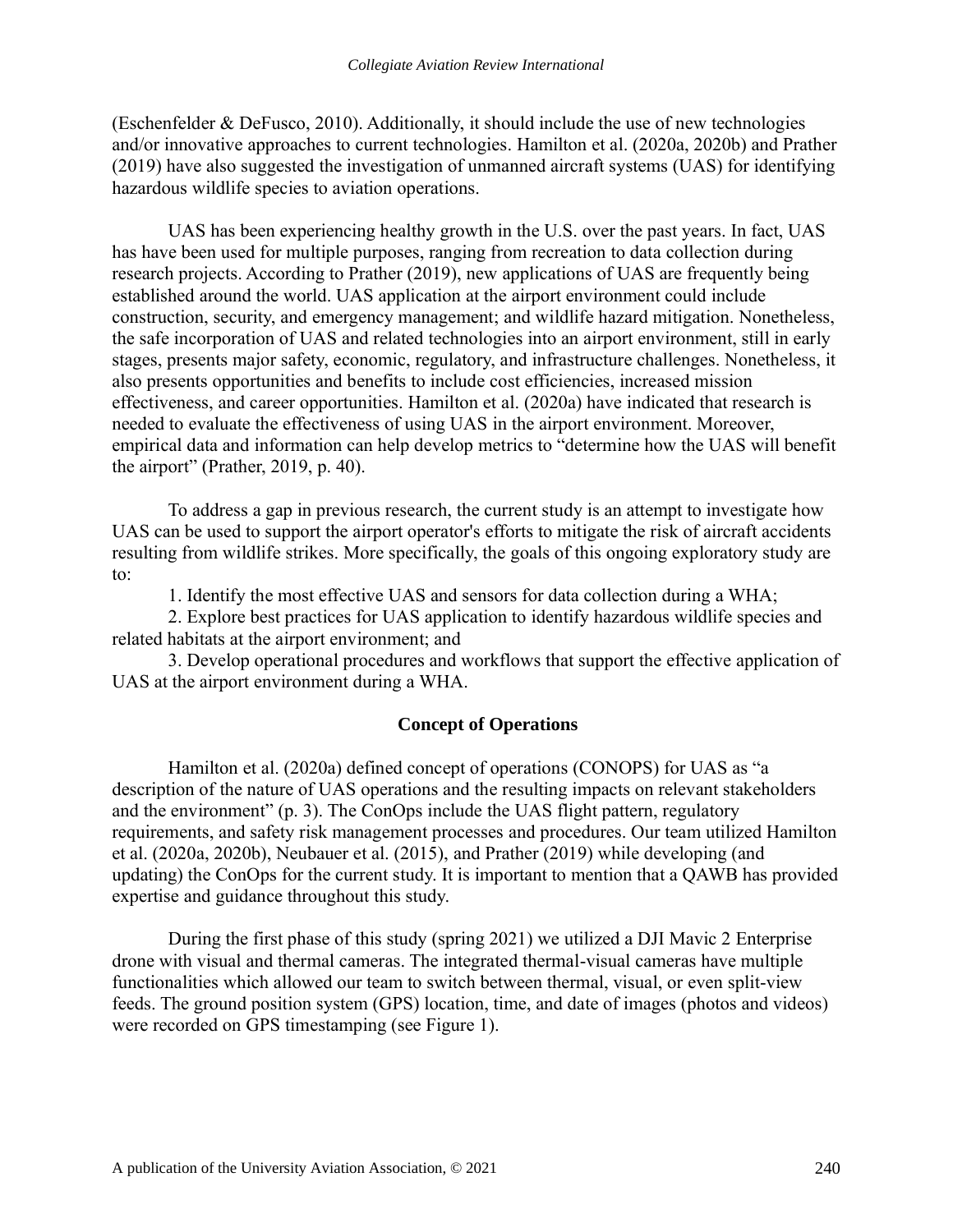(Eschenfelder & DeFusco, 2010). Additionally, it should include the use of new technologies and/or innovative approaches to current technologies. Hamilton et al. (2020a, 2020b) and Prather (2019) have also suggested the investigation of unmanned aircraft systems (UAS) for identifying hazardous wildlife species to aviation operations.

UAS has been experiencing healthy growth in the U.S. over the past years. In fact, UAS has have been used for multiple purposes, ranging from recreation to data collection during research projects. According to Prather (2019), new applications of UAS are frequently being established around the world. UAS application at the airport environment could include construction, security, and emergency management; and wildlife hazard mitigation. Nonetheless, the safe incorporation of UAS and related technologies into an airport environment, still in early stages, presents major safety, economic, regulatory, and infrastructure challenges. Nonetheless, it also presents opportunities and benefits to include cost efficiencies, increased mission effectiveness, and career opportunities. Hamilton et al. (2020a) have indicated that research is needed to evaluate the effectiveness of using UAS in the airport environment. Moreover, empirical data and information can help develop metrics to "determine how the UAS will benefit the airport" (Prather, 2019, p. 40).

To address a gap in previous research, the current study is an attempt to investigate how UAS can be used to support the airport operator's efforts to mitigate the risk of aircraft accidents resulting from wildlife strikes. More specifically, the goals of this ongoing exploratory study are to:

1. Identify the most effective UAS and sensors for data collection during a WHA;

2. Explore best practices for UAS application to identify hazardous wildlife species and related habitats at the airport environment; and

3. Develop operational procedures and workflows that support the effective application of UAS at the airport environment during a WHA.

### **Concept of Operations**

Hamilton et al. (2020a) defined concept of operations (CONOPS) for UAS as "a description of the nature of UAS operations and the resulting impacts on relevant stakeholders and the environment" (p. 3). The ConOps include the UAS flight pattern, regulatory requirements, and safety risk management processes and procedures. Our team utilized Hamilton et al. (2020a, 2020b), Neubauer et al. (2015), and Prather (2019) while developing (and updating) the ConOps for the current study. It is important to mention that a QAWB has provided expertise and guidance throughout this study.

During the first phase of this study (spring 2021) we utilized a DJI Mavic 2 Enterprise drone with visual and thermal cameras. The integrated thermal-visual cameras have multiple functionalities which allowed our team to switch between thermal, visual, or even split-view feeds. The ground position system (GPS) location, time, and date of images (photos and videos) were recorded on GPS timestamping (see Figure 1).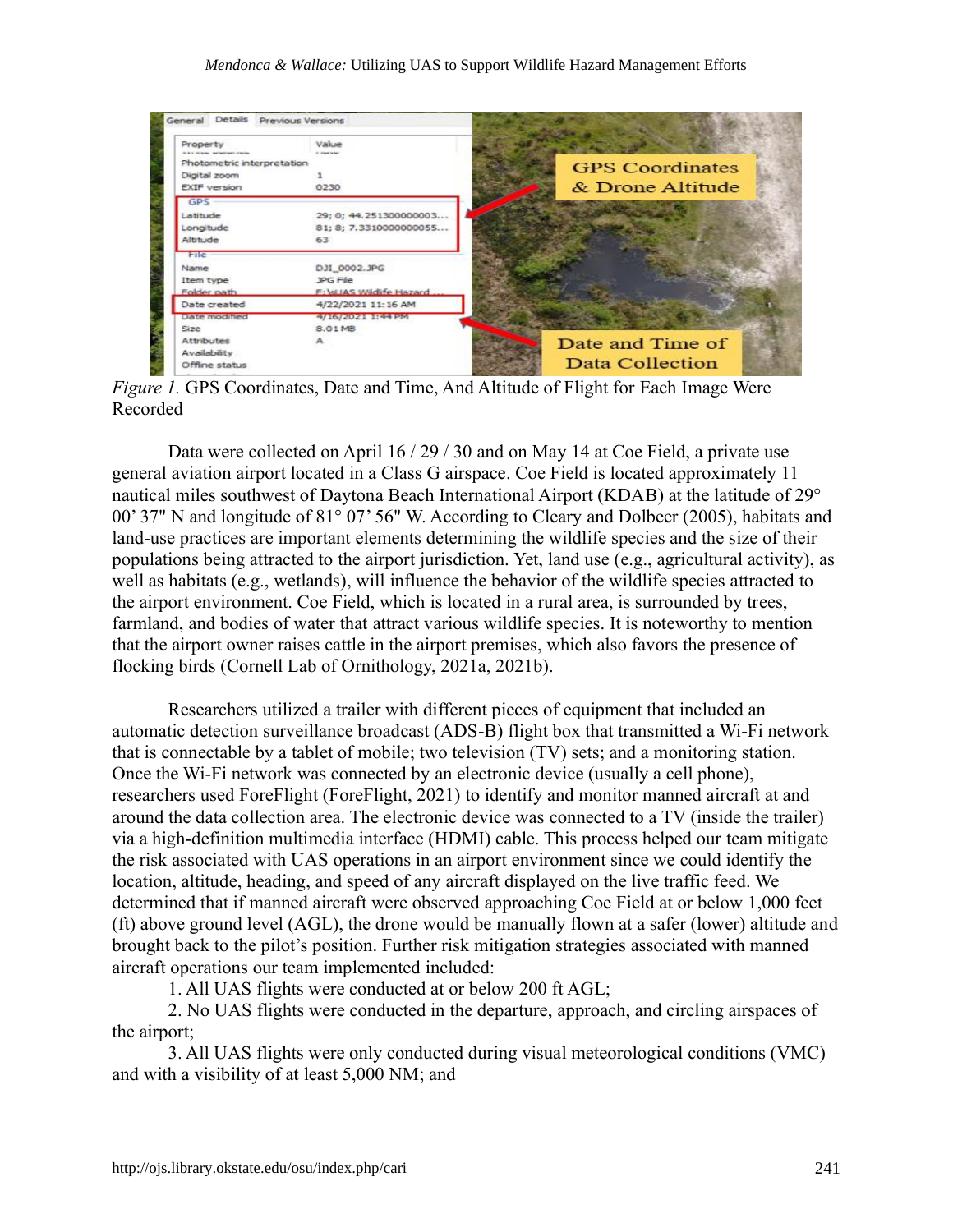| Property<br>I With the below that maintains to be the | Value<br><b>State School</b> |                        |
|-------------------------------------------------------|------------------------------|------------------------|
| Photometric interpretation                            |                              | <b>GPS</b> Coordinates |
| Digital zoom                                          |                              |                        |
| <b>EXIF</b> version                                   | 0230                         | & Drone Altitude       |
| <b>GPS</b>                                            |                              |                        |
| Latitude                                              | 29; 0; 44.251300000003       |                        |
| Longitude                                             | 81; 8; 7.3310000000055       |                        |
| Altitude                                              | 63                           |                        |
| File                                                  |                              |                        |
| Name                                                  | DJI_0002.JPG                 |                        |
| Item type                                             | <b>JPG File</b>              |                        |
| Folder path                                           | F:\dJAS Widife Hazard        |                        |
| Date created                                          | 4/22/2021 11:16 AM           |                        |
| Date modified                                         | 4/16/2021 1:44 PM            |                        |
| Size                                                  | 8.01 MB                      |                        |
| Attributes                                            |                              | Date and Time of       |

*Figure 1.* GPS Coordinates, Date and Time, And Altitude of Flight for Each Image Were Recorded

Data were collected on April 16 / 29 / 30 and on May 14 at Coe Field, a private use general aviation airport located in a Class G airspace. Coe Field is located approximately 11 nautical miles southwest of Daytona Beach International Airport (KDAB) at the latitude of 29° 00' 37" N and longitude of 81° 07' 56" W. According to Cleary and Dolbeer (2005), habitats and land-use practices are important elements determining the wildlife species and the size of their populations being attracted to the airport jurisdiction. Yet, land use (e.g., agricultural activity), as well as habitats (e.g., wetlands), will influence the behavior of the wildlife species attracted to the airport environment. Coe Field, which is located in a rural area, is surrounded by trees, farmland, and bodies of water that attract various wildlife species. It is noteworthy to mention that the airport owner raises cattle in the airport premises, which also favors the presence of flocking birds (Cornell Lab of Ornithology, 2021a, 2021b).

Researchers utilized a trailer with different pieces of equipment that included an automatic detection surveillance broadcast (ADS-B) flight box that transmitted a Wi-Fi network that is connectable by a tablet of mobile; two television (TV) sets; and a monitoring station. Once the Wi-Fi network was connected by an electronic device (usually a cell phone), researchers used ForeFlight (ForeFlight, 2021) to identify and monitor manned aircraft at and around the data collection area. The electronic device was connected to a TV (inside the trailer) via a high-definition multimedia interface (HDMI) cable. This process helped our team mitigate the risk associated with UAS operations in an airport environment since we could identify the location, altitude, heading, and speed of any aircraft displayed on the live traffic feed. We determined that if manned aircraft were observed approaching Coe Field at or below 1,000 feet (ft) above ground level (AGL), the drone would be manually flown at a safer (lower) altitude and brought back to the pilot's position. Further risk mitigation strategies associated with manned aircraft operations our team implemented included:

1. All UAS flights were conducted at or below 200 ft AGL;

2. No UAS flights were conducted in the departure, approach, and circling airspaces of the airport;

3. All UAS flights were only conducted during visual meteorological conditions (VMC) and with a visibility of at least 5,000 NM; and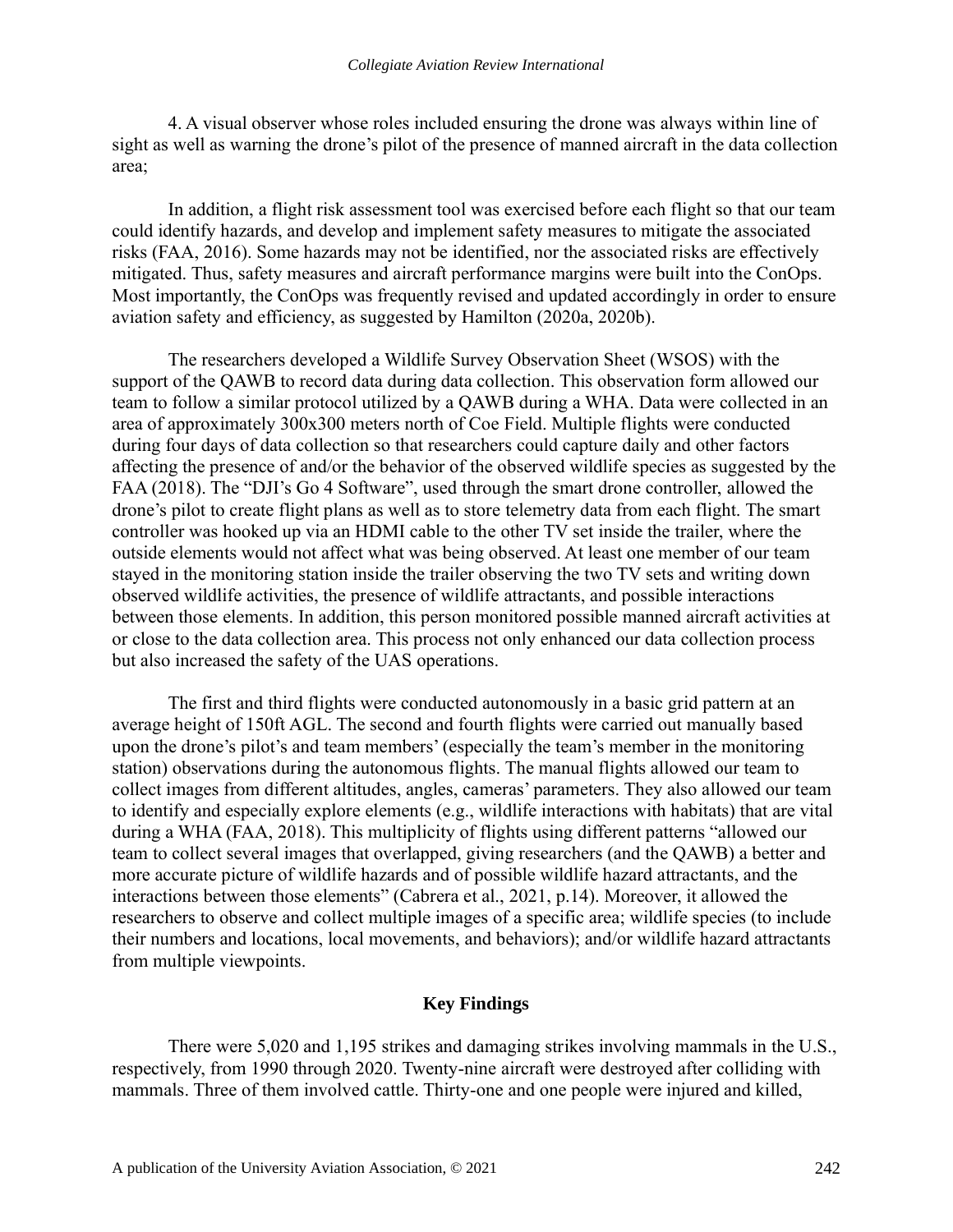4. A visual observer whose roles included ensuring the drone was always within line of sight as well as warning the drone's pilot of the presence of manned aircraft in the data collection area;

In addition, a flight risk assessment tool was exercised before each flight so that our team could identify hazards, and develop and implement safety measures to mitigate the associated risks (FAA, 2016). Some hazards may not be identified, nor the associated risks are effectively mitigated. Thus, safety measures and aircraft performance margins were built into the ConOps. Most importantly, the ConOps was frequently revised and updated accordingly in order to ensure aviation safety and efficiency, as suggested by Hamilton (2020a, 2020b).

The researchers developed a Wildlife Survey Observation Sheet (WSOS) with the support of the QAWB to record data during data collection. This observation form allowed our team to follow a similar protocol utilized by a QAWB during a WHA. Data were collected in an area of approximately 300x300 meters north of Coe Field. Multiple flights were conducted during four days of data collection so that researchers could capture daily and other factors affecting the presence of and/or the behavior of the observed wildlife species as suggested by the FAA (2018). The "DJI's Go 4 Software", used through the smart drone controller, allowed the drone's pilot to create flight plans as well as to store telemetry data from each flight. The smart controller was hooked up via an HDMI cable to the other TV set inside the trailer, where the outside elements would not affect what was being observed. At least one member of our team stayed in the monitoring station inside the trailer observing the two TV sets and writing down observed wildlife activities, the presence of wildlife attractants, and possible interactions between those elements. In addition, this person monitored possible manned aircraft activities at or close to the data collection area. This process not only enhanced our data collection process but also increased the safety of the UAS operations.

The first and third flights were conducted autonomously in a basic grid pattern at an average height of 150ft AGL. The second and fourth flights were carried out manually based upon the drone's pilot's and team members' (especially the team's member in the monitoring station) observations during the autonomous flights. The manual flights allowed our team to collect images from different altitudes, angles, cameras' parameters. They also allowed our team to identify and especially explore elements (e.g., wildlife interactions with habitats) that are vital during a WHA (FAA, 2018). This multiplicity of flights using different patterns "allowed our team to collect several images that overlapped, giving researchers (and the QAWB) a better and more accurate picture of wildlife hazards and of possible wildlife hazard attractants, and the interactions between those elements" (Cabrera et al., 2021, p.14). Moreover, it allowed the researchers to observe and collect multiple images of a specific area; wildlife species (to include their numbers and locations, local movements, and behaviors); and/or wildlife hazard attractants from multiple viewpoints.

#### **Key Findings**

There were 5,020 and 1,195 strikes and damaging strikes involving mammals in the U.S., respectively, from 1990 through 2020. Twenty-nine aircraft were destroyed after colliding with mammals. Three of them involved cattle. Thirty-one and one people were injured and killed,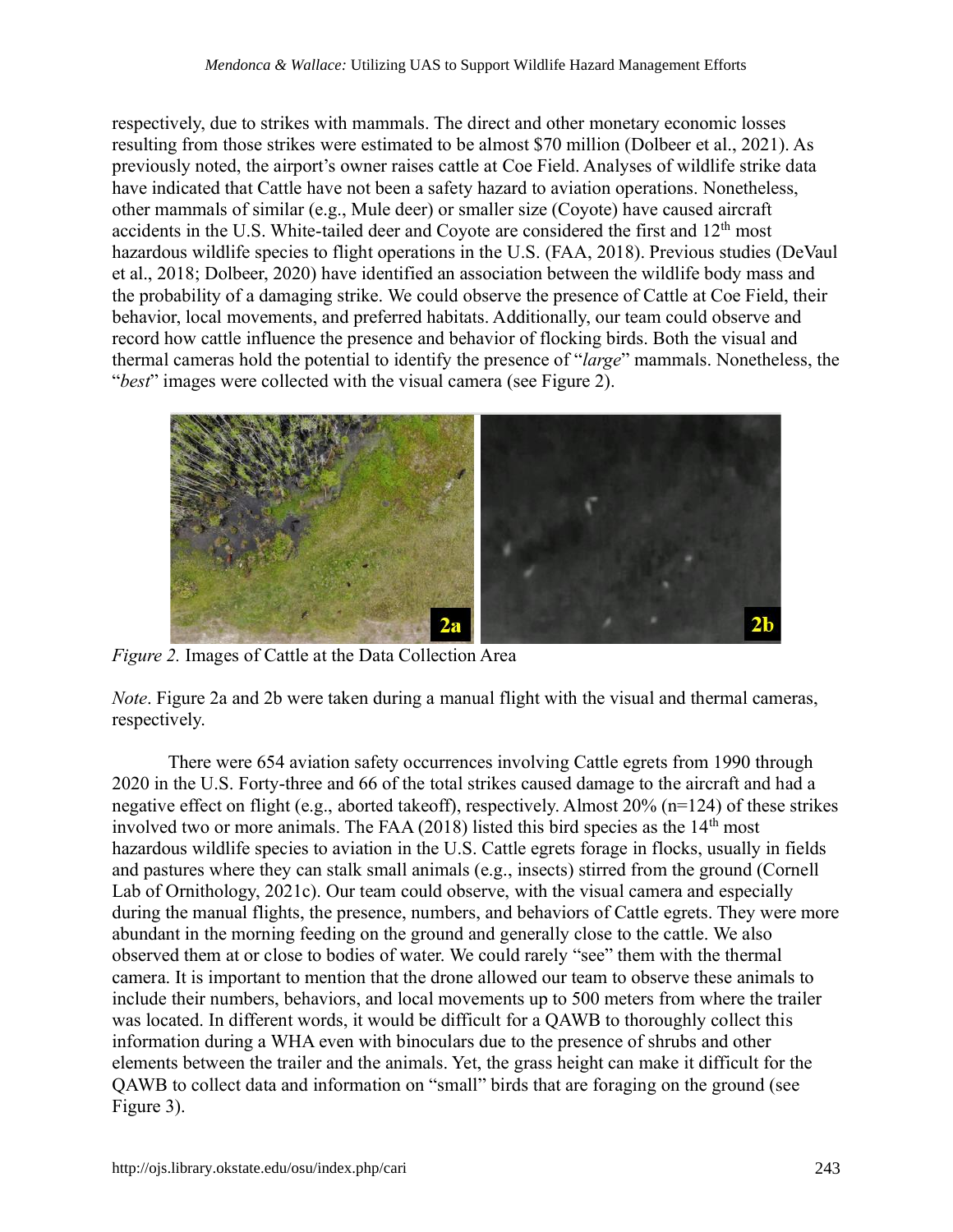respectively, due to strikes with mammals. The direct and other monetary economic losses resulting from those strikes were estimated to be almost \$70 million (Dolbeer et al., 2021). As previously noted, the airport's owner raises cattle at Coe Field. Analyses of wildlife strike data have indicated that Cattle have not been a safety hazard to aviation operations. Nonetheless, other mammals of similar (e.g., Mule deer) or smaller size (Coyote) have caused aircraft accidents in the U.S. White-tailed deer and Coyote are considered the first and 12<sup>th</sup> most hazardous wildlife species to flight operations in the U.S. (FAA, 2018). Previous studies (DeVaul et al., 2018; Dolbeer, 2020) have identified an association between the wildlife body mass and the probability of a damaging strike. We could observe the presence of Cattle at Coe Field, their behavior, local movements, and preferred habitats. Additionally, our team could observe and record how cattle influence the presence and behavior of flocking birds. Both the visual and thermal cameras hold the potential to identify the presence of "*large*" mammals. Nonetheless, the "*best*" images were collected with the visual camera (see Figure 2).



*Figure 2.* Images of Cattle at the Data Collection Area

*Note*. Figure 2a and 2b were taken during a manual flight with the visual and thermal cameras, respectively.

There were 654 aviation safety occurrences involving Cattle egrets from 1990 through 2020 in the U.S. Forty-three and 66 of the total strikes caused damage to the aircraft and had a negative effect on flight (e.g., aborted takeoff), respectively. Almost 20% (n=124) of these strikes involved two or more animals. The FAA  $(2018)$  listed this bird species as the  $14<sup>th</sup>$  most hazardous wildlife species to aviation in the U.S. Cattle egrets forage in flocks, usually in fields and pastures where they can stalk small animals (e.g., insects) stirred from the ground (Cornell Lab of Ornithology, 2021c). Our team could observe, with the visual camera and especially during the manual flights, the presence, numbers, and behaviors of Cattle egrets. They were more abundant in the morning feeding on the ground and generally close to the cattle. We also observed them at or close to bodies of water. We could rarely "see" them with the thermal camera. It is important to mention that the drone allowed our team to observe these animals to include their numbers, behaviors, and local movements up to 500 meters from where the trailer was located. In different words, it would be difficult for a QAWB to thoroughly collect this information during a WHA even with binoculars due to the presence of shrubs and other elements between the trailer and the animals. Yet, the grass height can make it difficult for the QAWB to collect data and information on "small" birds that are foraging on the ground (see Figure 3).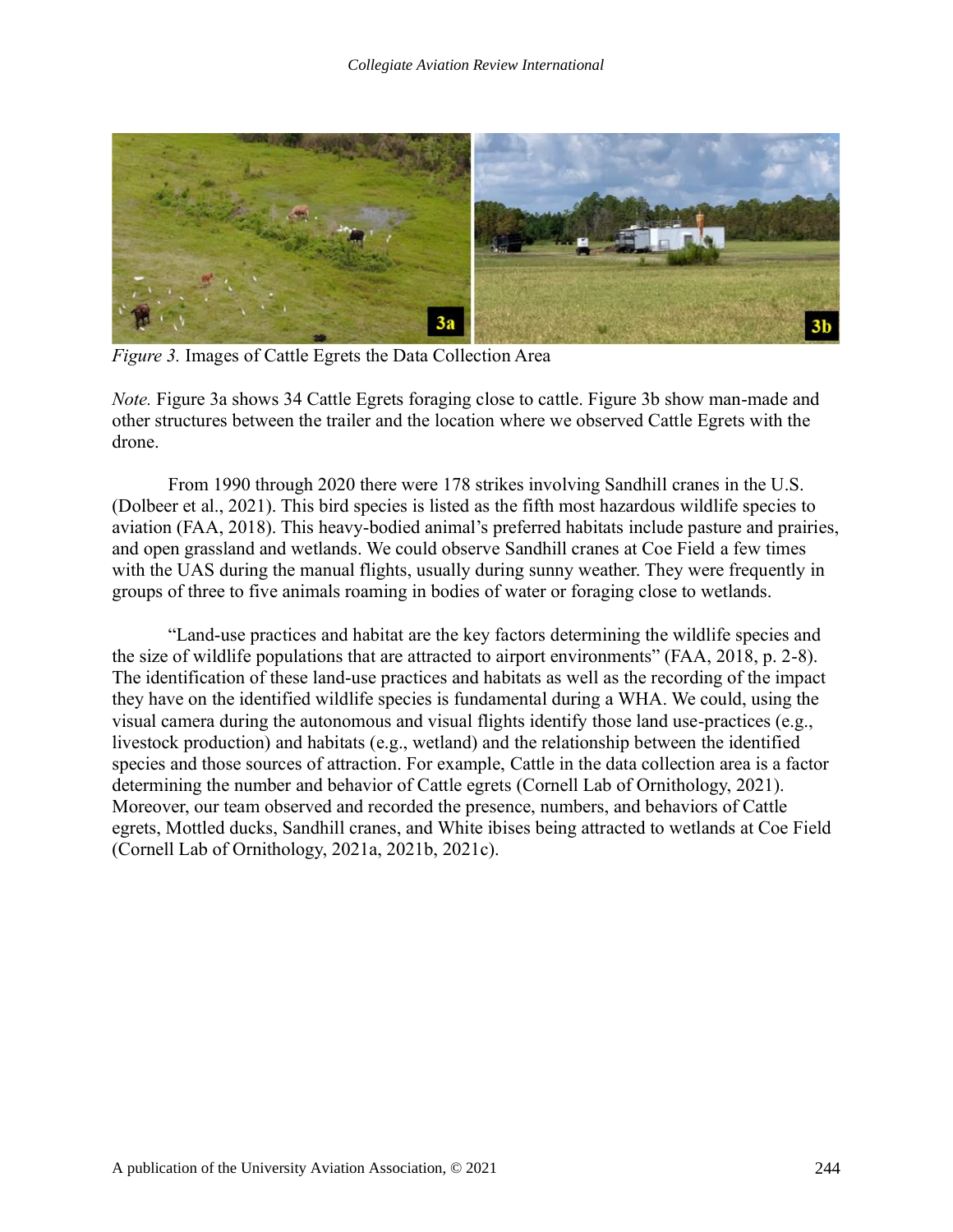

*Figure 3.* Images of Cattle Egrets the Data Collection Area

*Note.* Figure 3a shows 34 Cattle Egrets foraging close to cattle. Figure 3b show man-made and other structures between the trailer and the location where we observed Cattle Egrets with the drone.

From 1990 through 2020 there were 178 strikes involving Sandhill cranes in the U.S. (Dolbeer et al., 2021). This bird species is listed as the fifth most hazardous wildlife species to aviation (FAA, 2018). This heavy-bodied animal's preferred habitats include pasture and prairies, and open grassland and wetlands. We could observe Sandhill cranes at Coe Field a few times with the UAS during the manual flights, usually during sunny weather. They were frequently in groups of three to five animals roaming in bodies of water or foraging close to wetlands.

"Land-use practices and habitat are the key factors determining the wildlife species and the size of wildlife populations that are attracted to airport environments" (FAA, 2018, p. 2-8). The identification of these land-use practices and habitats as well as the recording of the impact they have on the identified wildlife species is fundamental during a WHA. We could, using the visual camera during the autonomous and visual flights identify those land use-practices (e.g., livestock production) and habitats (e.g., wetland) and the relationship between the identified species and those sources of attraction. For example, Cattle in the data collection area is a factor determining the number and behavior of Cattle egrets (Cornell Lab of Ornithology, 2021). Moreover, our team observed and recorded the presence, numbers, and behaviors of Cattle egrets, Mottled ducks, Sandhill cranes, and White ibises being attracted to wetlands at Coe Field (Cornell Lab of Ornithology, 2021a, 2021b, 2021c).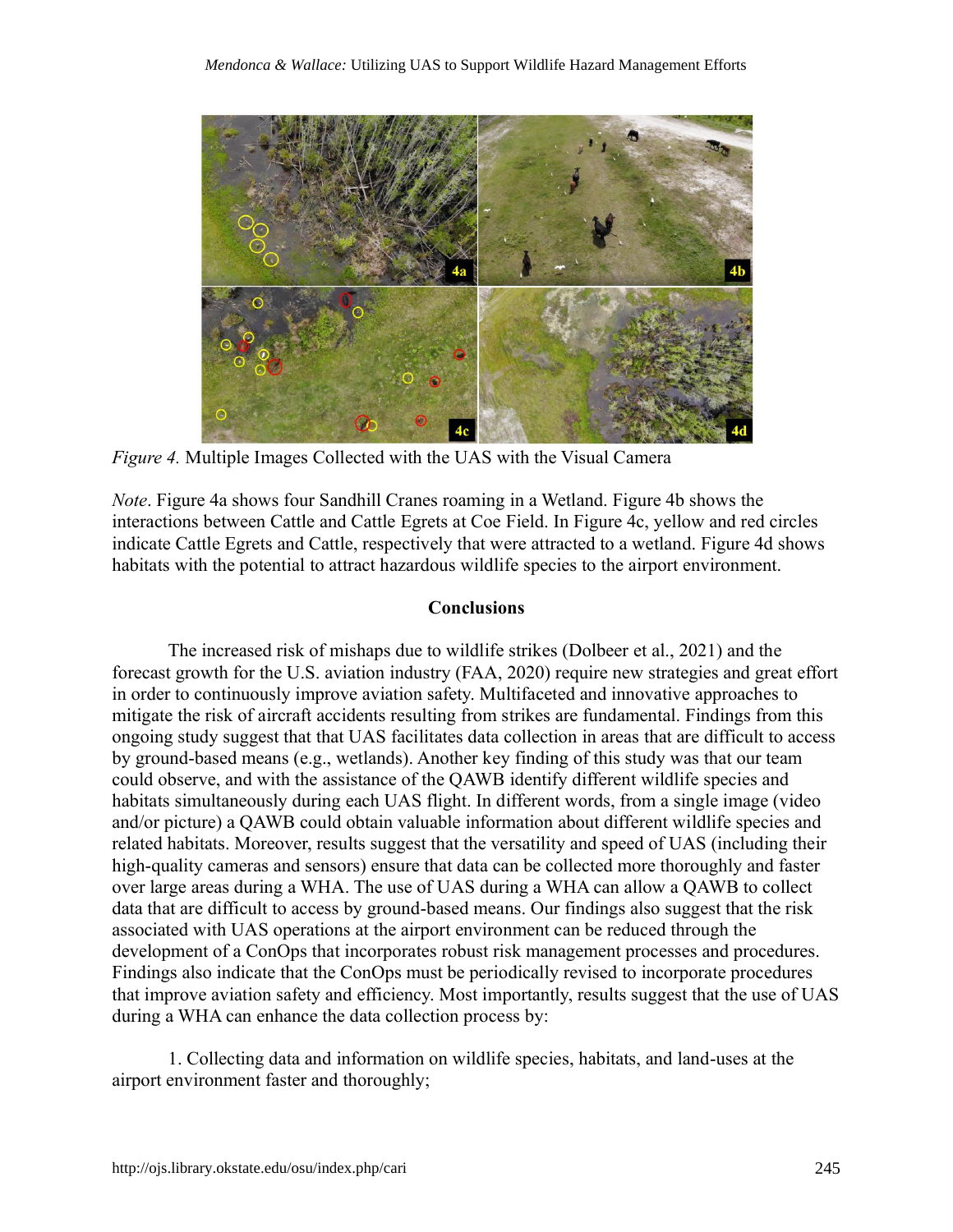

*Figure 4.* Multiple Images Collected with the UAS with the Visual Camera

*Note*. Figure 4a shows four Sandhill Cranes roaming in a Wetland. Figure 4b shows the interactions between Cattle and Cattle Egrets at Coe Field. In Figure 4c, yellow and red circles indicate Cattle Egrets and Cattle, respectively that were attracted to a wetland. Figure 4d shows habitats with the potential to attract hazardous wildlife species to the airport environment.

## **Conclusions**

The increased risk of mishaps due to wildlife strikes (Dolbeer et al., 2021) and the forecast growth for the U.S. aviation industry (FAA, 2020) require new strategies and great effort in order to continuously improve aviation safety. Multifaceted and innovative approaches to mitigate the risk of aircraft accidents resulting from strikes are fundamental. Findings from this ongoing study suggest that that UAS facilitates data collection in areas that are difficult to access by ground-based means (e.g., wetlands). Another key finding of this study was that our team could observe, and with the assistance of the QAWB identify different wildlife species and habitats simultaneously during each UAS flight. In different words, from a single image (video and/or picture) a QAWB could obtain valuable information about different wildlife species and related habitats. Moreover, results suggest that the versatility and speed of UAS (including their high-quality cameras and sensors) ensure that data can be collected more thoroughly and faster over large areas during a WHA. The use of UAS during a WHA can allow a QAWB to collect data that are difficult to access by ground-based means. Our findings also suggest that the risk associated with UAS operations at the airport environment can be reduced through the development of a ConOps that incorporates robust risk management processes and procedures. Findings also indicate that the ConOps must be periodically revised to incorporate procedures that improve aviation safety and efficiency. Most importantly, results suggest that the use of UAS during a WHA can enhance the data collection process by:

1. Collecting data and information on wildlife species, habitats, and land-uses at the airport environment faster and thoroughly;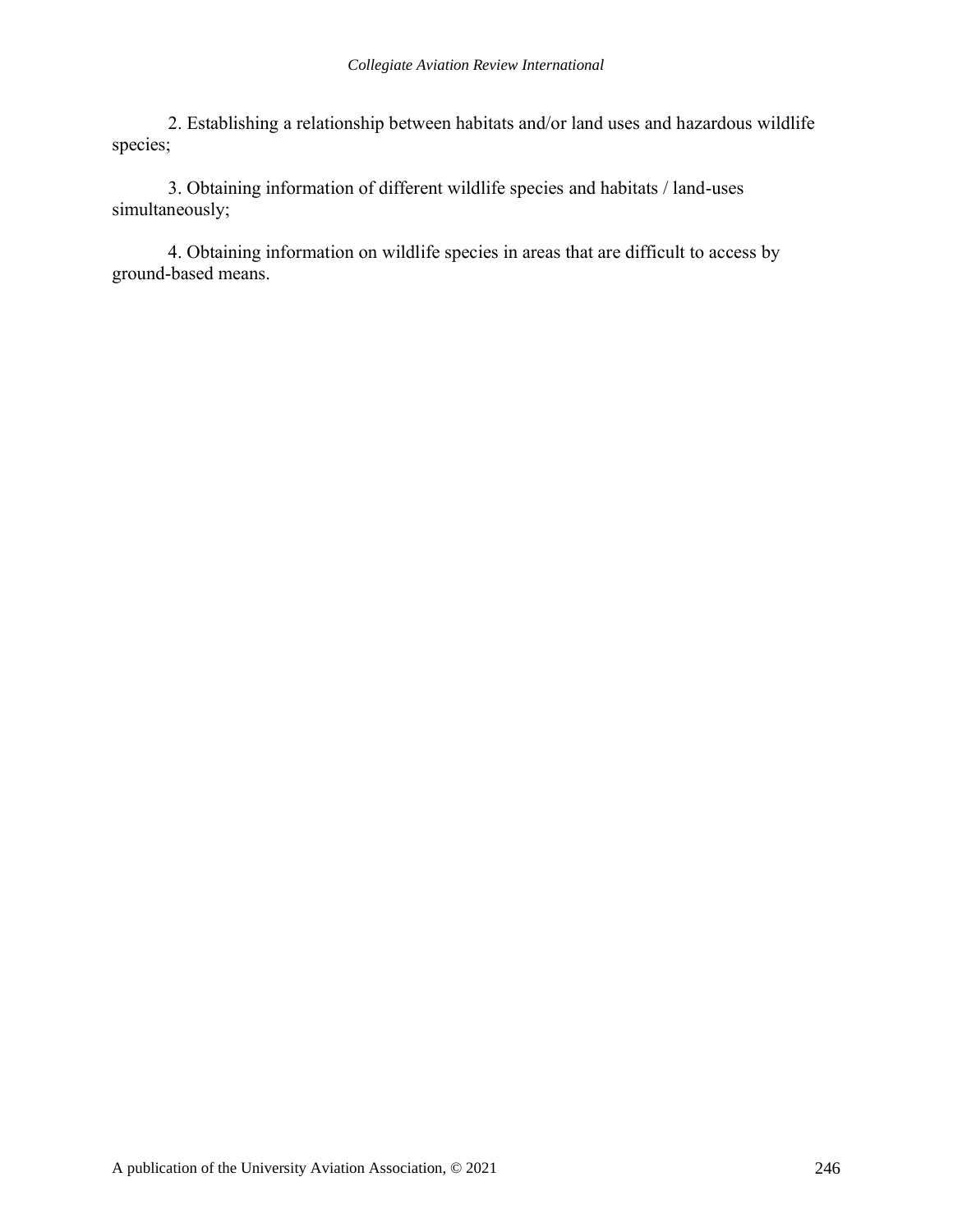2. Establishing a relationship between habitats and/or land uses and hazardous wildlife species;

3. Obtaining information of different wildlife species and habitats / land-uses simultaneously;

4. Obtaining information on wildlife species in areas that are difficult to access by ground-based means.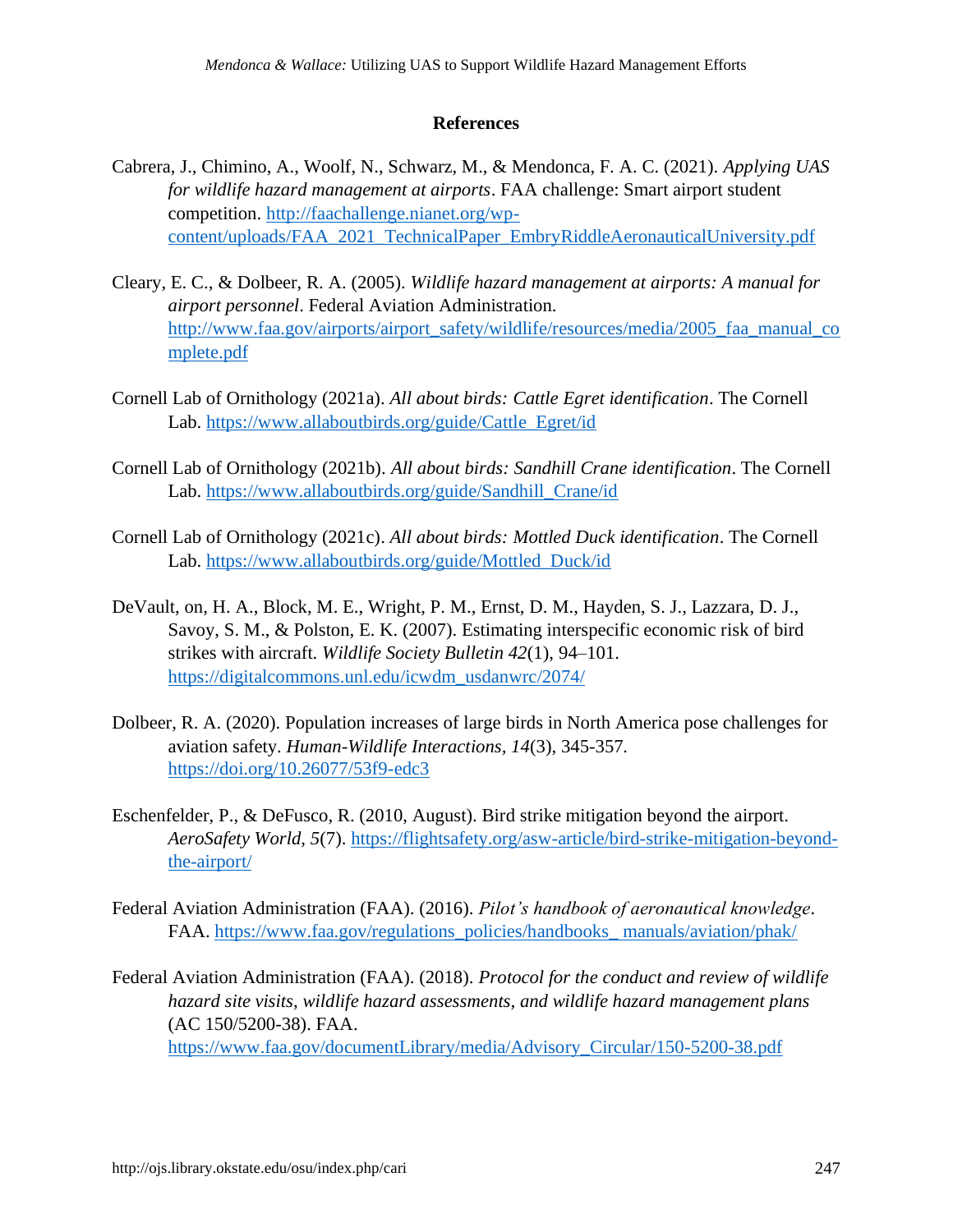## **References**

- Cabrera, J., Chimino, A., Woolf, N., Schwarz, M., & Mendonca, F. A. C. (2021). *Applying UAS for wildlife hazard management at airports*. FAA challenge: Smart airport student competition. [http://faachallenge.nianet.org/wp](http://faachallenge.nianet.org/wp-content/uploads/FAA_2021_TechnicalPaper_EmbryRiddleAeronauticalUniversity.pdf)[content/uploads/FAA\\_2021\\_TechnicalPaper\\_EmbryRiddleAeronauticalUniversity.pdf](http://faachallenge.nianet.org/wp-content/uploads/FAA_2021_TechnicalPaper_EmbryRiddleAeronauticalUniversity.pdf)
- Cleary, E. C., & Dolbeer, R. A. (2005). *Wildlife hazard management at airports: A manual for airport personnel*. Federal Aviation Administration. [http://www.faa.gov/airports/airport\\_safety/wildlife/resources/media/2005\\_faa\\_manual\\_co](http://www.faa.gov/airports/airport_safety/wildlife/resources/media/2005_faa_manual_complete.pdf) [mplete.pdf](http://www.faa.gov/airports/airport_safety/wildlife/resources/media/2005_faa_manual_complete.pdf)
- Cornell Lab of Ornithology (2021a). *All about birds: Cattle Egret identification*. The Cornell Lab. [https://www.allaboutbirds.org/guide/Cattle\\_Egret/id](https://www.allaboutbirds.org/guide/Cattle_Egret/id)
- Cornell Lab of Ornithology (2021b). *All about birds: Sandhill Crane identification*. The Cornell Lab. [https://www.allaboutbirds.org/guide/Sandhill\\_Crane/id](https://www.allaboutbirds.org/guide/Sandhill_Crane/id)
- Cornell Lab of Ornithology (2021c). *All about birds: Mottled Duck identification*. The Cornell Lab. [https://www.allaboutbirds.org/guide/Mottled\\_Duck/id](https://www.allaboutbirds.org/guide/Mottled_Duck/id)
- DeVault, on, H. A., Block, M. E., Wright, P. M., Ernst, D. M., Hayden, S. J., Lazzara, D. J., Savoy, S. M., & Polston, E. K. (2007). Estimating interspecific economic risk of bird strikes with aircraft. *Wildlife Society Bulletin 42*(1), 94–101. [https://digitalcommons.unl.edu/icwdm\\_usdanwrc/2074/](https://digitalcommons.unl.edu/icwdm_usdanwrc/2074/)
- Dolbeer, R. A. (2020). Population increases of large birds in North America pose challenges for aviation safety. *Human-Wildlife Interactions, 14*(3), 345-357*.*  <https://doi.org/10.26077/53f9-edc3>
- Eschenfelder, P., & DeFusco, R. (2010, August). Bird strike mitigation beyond the airport. *AeroSafety World, 5*(7). [https://flightsafety.org/asw-article/bird-strike-mitigation-beyond](https://flightsafety.org/asw-article/bird-strike-mitigation-beyond-the-airport/)[the-airport/](https://flightsafety.org/asw-article/bird-strike-mitigation-beyond-the-airport/)
- Federal Aviation Administration (FAA). (2016). *Pilot's handbook of aeronautical knowledge*. FAA. [https://www.faa.gov/regulations\\_policies/handbooks\\_ manuals/aviation/phak/](https://www.faa.gov/regulations_policies/handbooks_%20manuals/aviation/phak/)
- Federal Aviation Administration (FAA). (2018). *Protocol for the conduct and review of wildlife hazard site visits, wildlife hazard assessments, and wildlife hazard management plans* (AC 150/5200-38). FAA. [https://www.faa.gov/documentLibrary/media/Advisory\\_Circular/150-5200-38.pdf](https://www.faa.gov/documentLibrary/media/Advisory_Circular/150-5200-38.pdf)